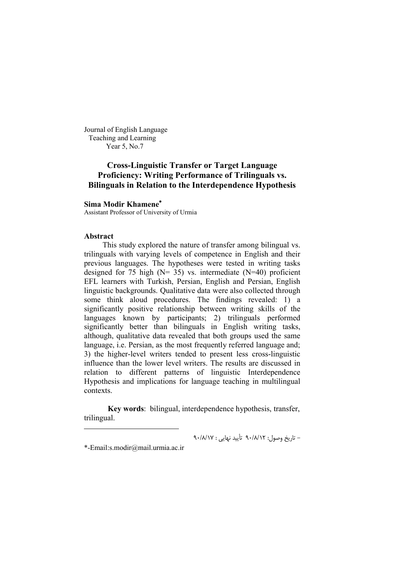Journal of English Language Teaching and Learning Year 5, No.7

# **Cross-Linguistic Transfer or Target Language Proficiency: Writing Performance of Trilinguals vs. Bilinguals in Relation to the Interdependence Hypothesis**

### **Sima Modir Khamene**

Assistant Professor of University of Urmia

#### **Abstract**

-

This study explored the nature of transfer among bilingual vs. trilinguals with varying levels of competence in English and their previous languages. The hypotheses were tested in writing tasks designed for 75 high ( $N= 35$ ) vs. intermediate ( $N=40$ ) proficient EFL learners with Turkish, Persian, English and Persian, English linguistic backgrounds. Qualitative data were also collected through some think aloud procedures. The findings revealed: 1) a significantly positive relationship between writing skills of the languages known by participants; 2) trilinguals performed significantly better than bilinguals in English writing tasks, although, qualitative data revealed that both groups used the same language, i.e. Persian, as the most frequently referred language and; 3) the higher-level writers tended to present less cross-linguistic influence than the lower level writers. The results are discussed in relation to different patterns of linguistic Interdependence Hypothesis and implications for language teaching in multilingual contexts.

**Key words**: bilingual, interdependence hypothesis, transfer, trilingual.

- تاریخ وصول: 12 /8/ 90 أت یید نهایی : 17 /8/ 90

\*-Email:s.modir@mail.urmia.ac.ir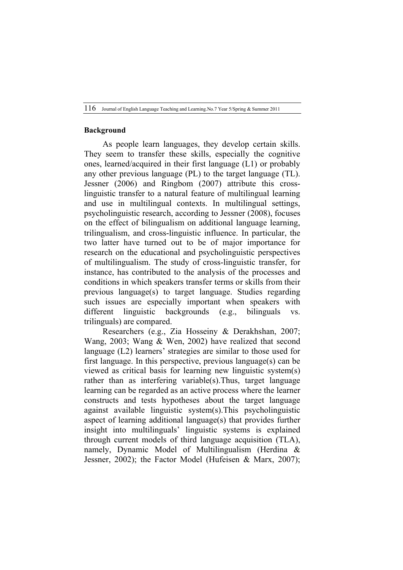### **Background**

As people learn languages, they develop certain skills. They seem to transfer these skills, especially the cognitive ones, learned/acquired in their first language (L1) or probably any other previous language (PL) to the target language (TL). Jessner (2006) and Ringbom (2007) attribute this crosslinguistic transfer to a natural feature of multilingual learning and use in multilingual contexts. In multilingual settings, psycholinguistic research, according to Jessner (2008), focuses on the effect of bilingualism on additional language learning, trilingualism, and cross-linguistic influence. In particular, the two latter have turned out to be of major importance for research on the educational and psycholinguistic perspectives of multilingualism. The study of cross-linguistic transfer, for instance, has contributed to the analysis of the processes and conditions in which speakers transfer terms or skills from their previous language(s) to target language. Studies regarding such issues are especially important when speakers with different linguistic backgrounds (e.g., bilinguals vs. trilinguals) are compared.

Researchers (e.g., Zia Hosseiny & Derakhshan, 2007; Wang, 2003; Wang & Wen, 2002) have realized that second language (L2) learners' strategies are similar to those used for first language. In this perspective, previous language(s) can be viewed as critical basis for learning new linguistic system(s) rather than as interfering variable(s).Thus, target language learning can be regarded as an active process where the learner constructs and tests hypotheses about the target language against available linguistic system(s).This psycholinguistic aspect of learning additional language(s) that provides further insight into multilinguals' linguistic systems is explained through current models of third language acquisition (TLA), namely, Dynamic Model of Multilingualism (Herdina & Jessner, 2002); the Factor Model (Hufeisen & Marx, 2007);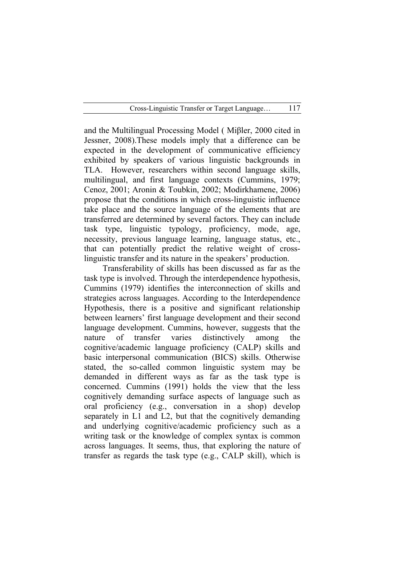and the Multilingual Processing Model ( Miβler, 2000 cited in Jessner, 2008).These models imply that a difference can be expected in the development of communicative efficiency exhibited by speakers of various linguistic backgrounds in TLA. However, researchers within second language skills, multilingual, and first language contexts (Cummins, 1979; Cenoz, 2001; Aronin & Toubkin, 2002; Modirkhamene, 2006) propose that the conditions in which cross-linguistic influence take place and the source language of the elements that are transferred are determined by several factors. They can include task type, linguistic typology, proficiency, mode, age, necessity, previous language learning, language status, etc., that can potentially predict the relative weight of crosslinguistic transfer and its nature in the speakers' production.

Transferability of skills has been discussed as far as the task type is involved. Through the interdependence hypothesis, Cummins (1979) identifies the interconnection of skills and strategies across languages. According to the Interdependence Hypothesis, there is a positive and significant relationship between learners' first language development and their second language development. Cummins, however, suggests that the nature of transfer varies distinctively among the cognitive/academic language proficiency (CALP) skills and basic interpersonal communication (BICS) skills. Otherwise stated, the so-called common linguistic system may be demanded in different ways as far as the task type is concerned. Cummins (1991) holds the view that the less cognitively demanding surface aspects of language such as oral proficiency (e.g., conversation in a shop) develop separately in L1 and L2, but that the cognitively demanding and underlying cognitive/academic proficiency such as a writing task or the knowledge of complex syntax is common across languages. It seems, thus, that exploring the nature of transfer as regards the task type (e.g., CALP skill), which is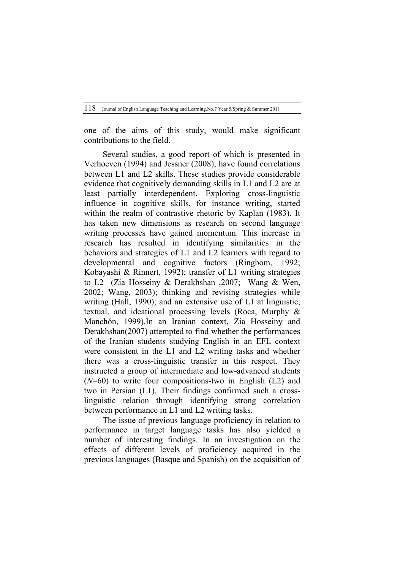one of the aims of this study, would make significant contributions to the field.

Several studies, a good report of which is presented in Verhoeven (1994) and Jessner (2008), have found correlations between L1 and L2 skills. These studies provide considerable evidence that cognitively demanding skills in L1 and L2 are at least partially interdependent. Exploring cross-linguistic influence in cognitive skills, for instance writing, started within the realm of contrastive rhetoric by Kaplan (1983). It has taken new dimensions as research on second language writing processes have gained momentum. This increase in research has resulted in identifying similarities in the behaviors and strategies of L1 and L2 learners with regard to developmental and cognitive factors (Ringbom, 1992; Kobayashi & Rinnert, 1992); transfer of L1 writing strategies to L2 (Zia Hosseiny & Derakhshan ,2007; Wang & Wen, 2002; Wang, 2003); thinking and revising strategies while writing (Hall, 1990); and an extensive use of L1 at linguistic, textual, and ideational processing levels (Roca, Murphy & Manchón, 1999). In an Iranian context, Zia Hosseiny and Derakhshan(2007) attempted to find whether the performances of the Iranian students studying English in an EFL context were consistent in the L1 and L2 writing tasks and whether there was a cross-linguistic transfer in this respect. They instructed a group of intermediate and low-advanced students (*N*=60) to write four compositions-two in English (L2) and two in Persian (L1). Their findings confirmed such a crosslinguistic relation through identifying strong correlation between performance in L1 and L2 writing tasks.

The issue of previous language proficiency in relation to performance in target language tasks has also yielded a number of interesting findings. In an investigation on the effects of different levels of proficiency acquired in the previous languages (Basque and Spanish) on the acquisition of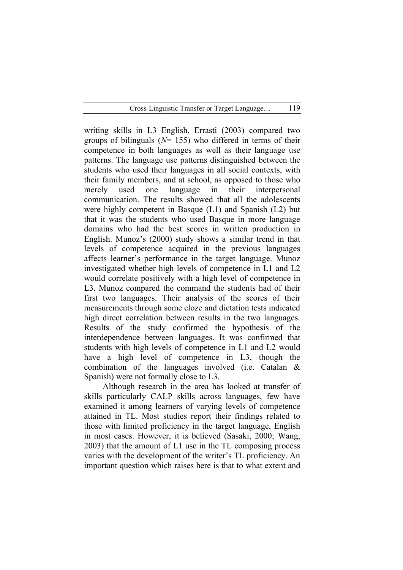writing skills in L3 English, Errasti (2003) compared two groups of bilinguals (*N*= 155) who differed in terms of their competence in both languages as well as their language use patterns. The language use patterns distinguished between the students who used their languages in all social contexts, with their family members, and at school, as opposed to those who merely used one language in their interpersonal communication. The results showed that all the adolescents were highly competent in Basque (L1) and Spanish (L2) but that it was the students who used Basque in more language domains who had the best scores in written production in English. Munoz's (2000) study shows a similar trend in that levels of competence acquired in the previous languages affects learner's performance in the target language. Munoz investigated whether high levels of competence in L1 and L2 would correlate positively with a high level of competence in L3. Munoz compared the command the students had of their first two languages. Their analysis of the scores of their measurements through some cloze and dictation tests indicated high direct correlation between results in the two languages. Results of the study confirmed the hypothesis of the interdependence between languages. It was confirmed that students with high levels of competence in L1 and L2 would have a high level of competence in L3, though the combination of the languages involved (i.e. Catalan & Spanish) were not formally close to L3.

Although research in the area has looked at transfer of skills particularly CALP skills across languages, few have examined it among learners of varying levels of competence attained in TL. Most studies report their findings related to those with limited proficiency in the target language, English in most cases. However, it is believed (Sasaki, 2000; Wang, 2003) that the amount of L1 use in the TL composing process varies with the development of the writer's TL proficiency. An important question which raises here is that to what extent and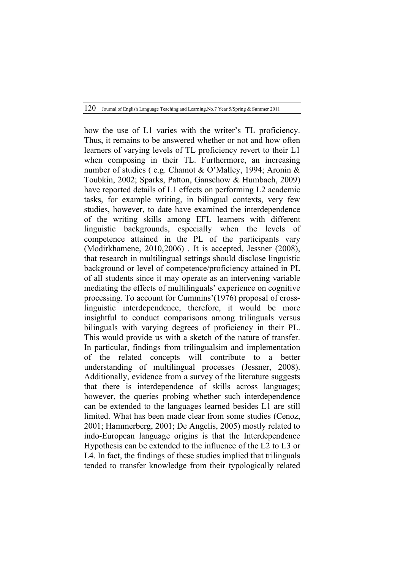how the use of L1 varies with the writer's TL proficiency. Thus, it remains to be answered whether or not and how often learners of varying levels of TL proficiency revert to their L1 when composing in their TL. Furthermore, an increasing number of studies ( e.g. Chamot & O'Malley, 1994; Aronin & Toubkin, 2002; Sparks, Patton, Ganschow & Humbach, 2009) have reported details of L1 effects on performing L2 academic tasks, for example writing, in bilingual contexts, very few studies, however, to date have examined the interdependence of the writing skills among EFL learners with different linguistic backgrounds, especially when the levels of competence attained in the PL of the participants vary (Modirkhamene, 2010,2006) . It is accepted, Jessner (2008), that research in multilingual settings should disclose linguistic background or level of competence/proficiency attained in PL of all students since it may operate as an intervening variable mediating the effects of multilinguals' experience on cognitive processing. To account for Cummins'(1976) proposal of crosslinguistic interdependence, therefore, it would be more insightful to conduct comparisons among trilinguals versus bilinguals with varying degrees of proficiency in their PL. This would provide us with a sketch of the nature of transfer. In particular, findings from trilingualsim and implementation of the related concepts will contribute to a better understanding of multilingual processes (Jessner, 2008). Additionally, evidence from a survey of the literature suggests that there is interdependence of skills across languages; however, the queries probing whether such interdependence can be extended to the languages learned besides L1 are still limited. What has been made clear from some studies (Cenoz, 2001; Hammerberg, 2001; De Angelis, 2005) mostly related to indo-European language origins is that the Interdependence Hypothesis can be extended to the influence of the L2 to L3 or L4. In fact, the findings of these studies implied that trilinguals tended to transfer knowledge from their typologically related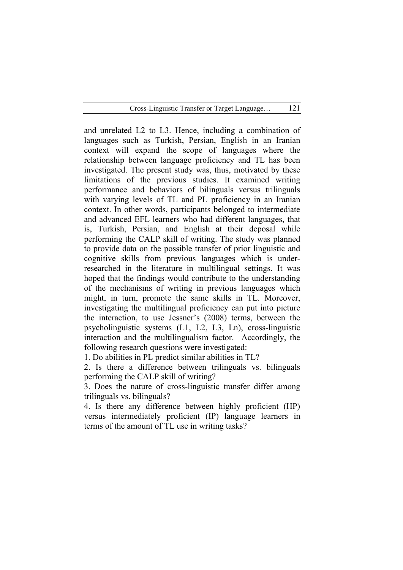and unrelated L2 to L3. Hence, including a combination of languages such as Turkish, Persian, English in an Iranian context will expand the scope of languages where the relationship between language proficiency and TL has been investigated. The present study was, thus, motivated by these limitations of the previous studies. It examined writing performance and behaviors of bilinguals versus trilinguals with varying levels of TL and PL proficiency in an Iranian context. In other words, participants belonged to intermediate and advanced EFL learners who had different languages, that is, Turkish, Persian, and English at their deposal while performing the CALP skill of writing. The study was planned to provide data on the possible transfer of prior linguistic and cognitive skills from previous languages which is underresearched in the literature in multilingual settings. It was hoped that the findings would contribute to the understanding of the mechanisms of writing in previous languages which might, in turn, promote the same skills in TL. Moreover, investigating the multilingual proficiency can put into picture the interaction, to use Jessner's (2008) terms, between the psycholinguistic systems (L1, L2, L3, Ln), cross-linguistic interaction and the multilingualism factor. Accordingly, the following research questions were investigated:

1. Do abilities in PL predict similar abilities in TL?

2. Is there a difference between trilinguals vs. bilinguals performing the CALP skill of writing?

3. Does the nature of cross-linguistic transfer differ among trilinguals vs. bilinguals?

4. Is there any difference between highly proficient (HP) versus intermediately proficient (IP) language learners in terms of the amount of TL use in writing tasks?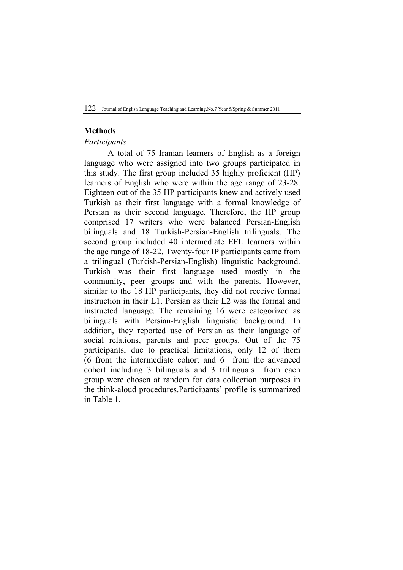## **Methods**

#### *Participants*

A total of 75 Iranian learners of English as a foreign language who were assigned into two groups participated in this study. The first group included 35 highly proficient (HP) learners of English who were within the age range of 23-28. Eighteen out of the 35 HP participants knew and actively used Turkish as their first language with a formal knowledge of Persian as their second language. Therefore, the HP group comprised 17 writers who were balanced Persian-English bilinguals and 18 Turkish-Persian-English trilinguals. The second group included 40 intermediate EFL learners within the age range of 18-22. Twenty-four IP participants came from a trilingual (Turkish-Persian-English) linguistic background. Turkish was their first language used mostly in the community, peer groups and with the parents. However, similar to the 18 HP participants, they did not receive formal instruction in their L1. Persian as their L2 was the formal and instructed language. The remaining 16 were categorized as bilinguals with Persian-English linguistic background. In addition, they reported use of Persian as their language of social relations, parents and peer groups. Out of the 75 participants, due to practical limitations, only 12 of them (6 from the intermediate cohort and 6 from the advanced cohort including 3 bilinguals and 3 trilinguals from each group were chosen at random for data collection purposes in the think-aloud procedures.Participants' profile is summarized in Table 1.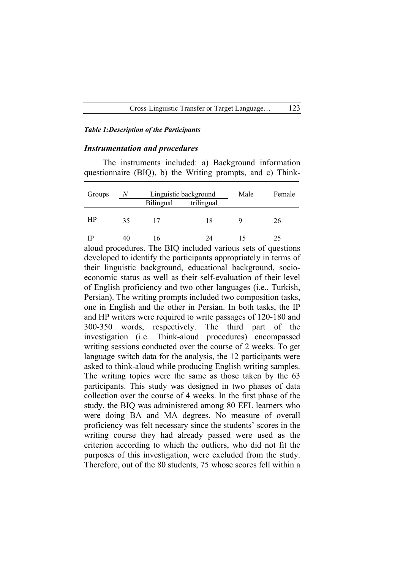#### *Table 1:Description of the Participants*

#### *Instrumentation and procedures*

The instruments included: a) Background information questionnaire (BIQ), b) the Writing prompts, and c) Think-

| Groups | N  | Linguistic background<br>Bilingual<br>trilingual |    | Male | Female |
|--------|----|--------------------------------------------------|----|------|--------|
| HP     | 35 |                                                  | 18 |      | 26     |
| TÞ     | 40 |                                                  | 74 |      |        |

aloud procedures. The BIQ included various sets of questions developed to identify the participants appropriately in terms of their linguistic background, educational background, socioeconomic status as well as their self-evaluation of their level of English proficiency and two other languages (i.e., Turkish, Persian). The writing prompts included two composition tasks, one in English and the other in Persian. In both tasks, the IP and HP writers were required to write passages of 120-180 and 300-350 words, respectively. The third part of the investigation (i.e. Think-aloud procedures) encompassed writing sessions conducted over the course of 2 weeks. To get language switch data for the analysis, the 12 participants were asked to think-aloud while producing English writing samples. The writing topics were the same as those taken by the 63 participants. This study was designed in two phases of data collection over the course of 4 weeks. In the first phase of the study, the BIQ was administered among 80 EFL learners who were doing BA and MA degrees. No measure of overall proficiency was felt necessary since the students' scores in the writing course they had already passed were used as the criterion according to which the outliers, who did not fit the purposes of this investigation, were excluded from the study. Therefore, out of the 80 students, 75 whose scores fell within a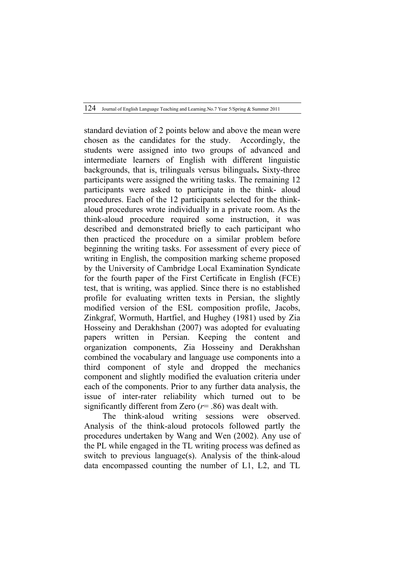standard deviation of 2 points below and above the mean were chosen as the candidates for the study. Accordingly, the students were assigned into two groups of advanced and intermediate learners of English with different linguistic backgrounds, that is, trilinguals versus bilinguals**.** Sixty-three participants were assigned the writing tasks. The remaining 12 participants were asked to participate in the think- aloud procedures. Each of the 12 participants selected for the thinkaloud procedures wrote individually in a private room. As the think-aloud procedure required some instruction, it was described and demonstrated briefly to each participant who then practiced the procedure on a similar problem before beginning the writing tasks. For assessment of every piece of writing in English, the composition marking scheme proposed by the University of Cambridge Local Examination Syndicate for the fourth paper of the First Certificate in English (FCE) test, that is writing, was applied. Since there is no established profile for evaluating written texts in Persian, the slightly modified version of the ESL composition profile, Jacobs, Zinkgraf, Wormuth, Hartfiel, and Hughey (1981) used by Zia Hosseiny and Derakhshan (2007) was adopted for evaluating papers written in Persian. Keeping the content and organization components, Zia Hosseiny and Derakhshan combined the vocabulary and language use components into a third component of style and dropped the mechanics component and slightly modified the evaluation criteria under each of the components. Prior to any further data analysis, the issue of inter-rater reliability which turned out to be significantly different from Zero (*r*= .86) was dealt with.

The think-aloud writing sessions were observed. Analysis of the think-aloud protocols followed partly the procedures undertaken by Wang and Wen (2002). Any use of the PL while engaged in the TL writing process was defined as switch to previous language(s). Analysis of the think-aloud data encompassed counting the number of L1, L2, and TL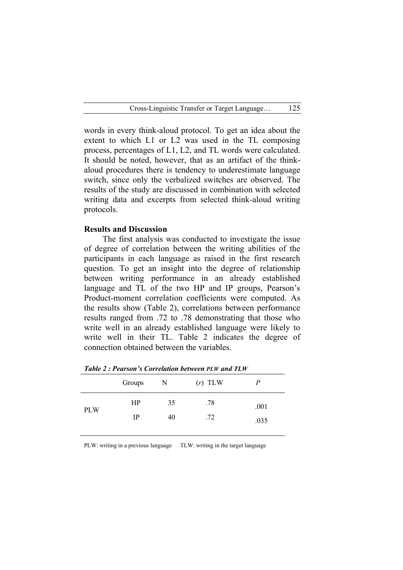words in every think-aloud protocol. To get an idea about the extent to which L1 or L2 was used in the TL composing process, percentages of L1, L2, and TL words were calculated. It should be noted, however, that as an artifact of the thinkaloud procedures there is tendency to underestimate language switch, since only the verbalized switches are observed. The results of the study are discussed in combination with selected writing data and excerpts from selected think-aloud writing protocols.

## **Results and Discussion**

The first analysis was conducted to investigate the issue of degree of correlation between the writing abilities of the participants in each language as raised in the first research question. To get an insight into the degree of relationship between writing performance in an already established language and TL of the two HP and IP groups, Pearson's Product-moment correlation coefficients were computed. As the results show (Table 2), correlations between performance results ranged from .72 to .78 demonstrating that those who write well in an already established language were likely to write well in their TL. Table 2 indicates the degree of connection obtained between the variables.

|            | Groups      | N  | $(r)$ TLW | Ρ    |
|------------|-------------|----|-----------|------|
| <b>PLW</b> | HP          | 35 | .78       | .001 |
|            | $_{\rm IP}$ | 40 | .72       | .035 |

*Table 2 : Pearson's Correlation between PLW and TLW*

PLW: writing in a previous language TLW: writing in the target language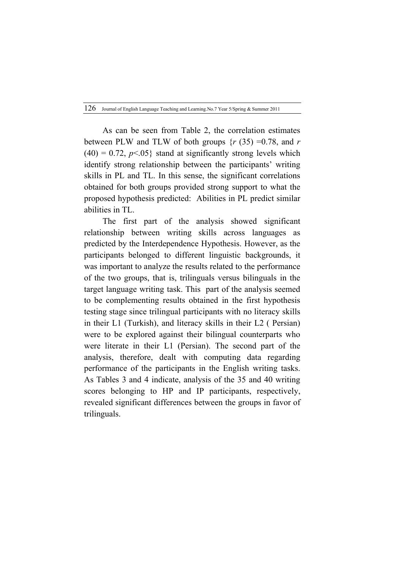As can be seen from Table 2, the correlation estimates between PLW and TLW of both groups  $\{r \, (35) = 0.78, \text{ and } r\}$  $(40) = 0.72$ ,  $p \le 0.05$ } stand at significantly strong levels which identify strong relationship between the participants' writing skills in PL and TL. In this sense, the significant correlations obtained for both groups provided strong support to what the proposed hypothesis predicted: Abilities in PL predict similar abilities in TL.

The first part of the analysis showed significant relationship between writing skills across languages as predicted by the Interdependence Hypothesis. However, as the participants belonged to different linguistic backgrounds, it was important to analyze the results related to the performance of the two groups, that is, trilinguals versus bilinguals in the target language writing task. This part of the analysis seemed to be complementing results obtained in the first hypothesis testing stage since trilingual participants with no literacy skills in their L1 (Turkish), and literacy skills in their L2 ( Persian) were to be explored against their bilingual counterparts who were literate in their L1 (Persian). The second part of the analysis, therefore, dealt with computing data regarding performance of the participants in the English writing tasks. As Tables 3 and 4 indicate, analysis of the 35 and 40 writing scores belonging to HP and IP participants, respectively, revealed significant differences between the groups in favor of trilinguals.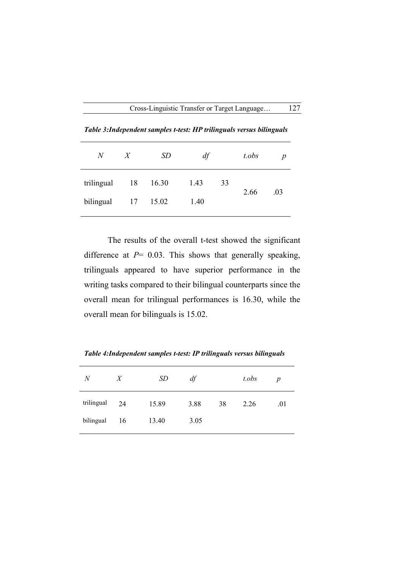| $N_{-}$             | X | <b>SD</b> | df   |    | t.obs | $\boldsymbol{p}$ |
|---------------------|---|-----------|------|----|-------|------------------|
| trilingual 18 16.30 |   |           | 1.43 | 33 | 2.66  | .03              |

bilingual 17 15.02 1.40

*Table 3:Independent samples t-test: HP trilinguals versus bilinguals*

The results of the overall t-test showed the significant difference at *P*= 0.03. This shows that generally speaking, trilinguals appeared to have superior performance in the writing tasks compared to their bilingual counterparts since the overall mean for trilingual performances is 16.30, while the overall mean for bilinguals is 15.02.

*N X SD df t.obs p* trilingual 24 15.89 3.88 38 2.26 .01 bilingual 16 13.40 3.05

*Table 4:Independent samples t-test: IP trilinguals versus bilinguals*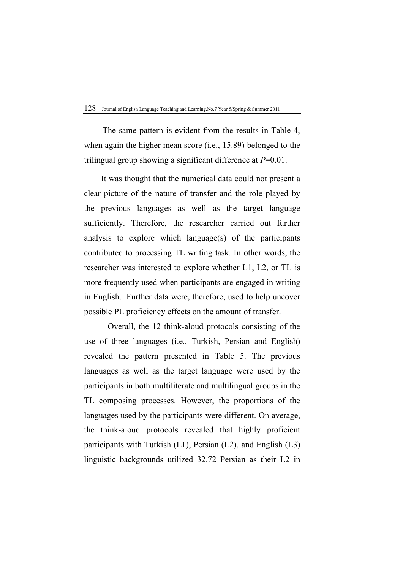The same pattern is evident from the results in Table 4, when again the higher mean score (i.e., 15.89) belonged to the trilingual group showing a significant difference at *P*=0.01.

 It was thought that the numerical data could not present a clear picture of the nature of transfer and the role played by the previous languages as well as the target language sufficiently. Therefore, the researcher carried out further analysis to explore which language(s) of the participants contributed to processing TL writing task. In other words, the researcher was interested to explore whether L1, L2, or TL is more frequently used when participants are engaged in writing in English. Further data were, therefore, used to help uncover possible PL proficiency effects on the amount of transfer.

Overall, the 12 think-aloud protocols consisting of the use of three languages (i.e., Turkish, Persian and English) revealed the pattern presented in Table 5. The previous languages as well as the target language were used by the participants in both multiliterate and multilingual groups in the TL composing processes. However, the proportions of the languages used by the participants were different. On average, the think-aloud protocols revealed that highly proficient participants with Turkish (L1), Persian (L2), and English (L3) linguistic backgrounds utilized 32.72 Persian as their L2 in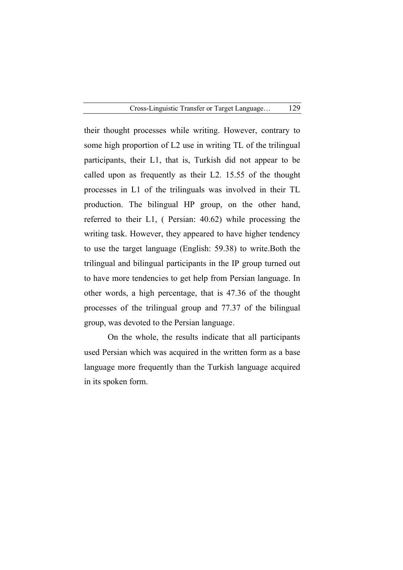their thought processes while writing. However, contrary to some high proportion of L2 use in writing TL of the trilingual participants, their L1, that is, Turkish did not appear to be called upon as frequently as their L2. 15.55 of the thought processes in L1 of the trilinguals was involved in their TL production. The bilingual HP group, on the other hand, referred to their L1, ( Persian: 40.62) while processing the writing task. However, they appeared to have higher tendency to use the target language (English: 59.38) to write.Both the trilingual and bilingual participants in the IP group turned out to have more tendencies to get help from Persian language. In other words, a high percentage, that is 47.36 of the thought processes of the trilingual group and 77.37 of the bilingual group, was devoted to the Persian language.

On the whole, the results indicate that all participants used Persian which was acquired in the written form as a base language more frequently than the Turkish language acquired in its spoken form.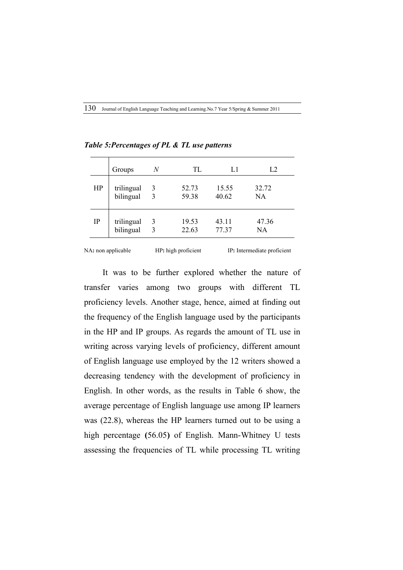|           | Groups     | N            | TL.   | L1    | L2        |
|-----------|------------|--------------|-------|-------|-----------|
| HP        | trilingual | 3            | 52.73 | 15.55 | 32.72     |
|           | bilingual  | 3            | 59.38 | 40.62 | <b>NA</b> |
| <b>IP</b> | trilingual | 3            | 19.53 | 43.11 | 47.36     |
|           | bilingual  | $\mathbf{3}$ | 22.63 | 77.37 | NA.       |

*Table 5:Percentages of PL & TL use patterns*

NA**:** non applicable HP**:** high proficient IP**:** Intermediate proficient

It was to be further explored whether the nature of transfer varies among two groups with different TL proficiency levels. Another stage, hence, aimed at finding out the frequency of the English language used by the participants in the HP and IP groups. As regards the amount of TL use in writing across varying levels of proficiency, different amount of English language use employed by the 12 writers showed a decreasing tendency with the development of proficiency in English. In other words, as the results in Table 6 show, the average percentage of English language use among IP learners was (22.8), whereas the HP learners turned out to be using a high percentage **(**56.05**)** of English. Mann-Whitney U tests assessing the frequencies of TL while processing TL writing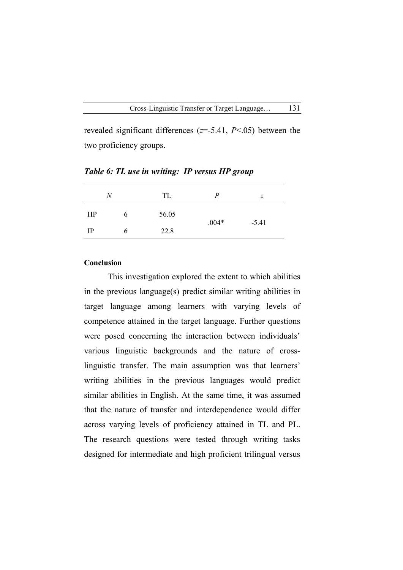revealed significant differences (*z*=-5.41, *P*<.05) between the two proficiency groups.

|             | N | TL    | P       | $\overline{z}$ |
|-------------|---|-------|---------|----------------|
| HP          | O | 56.05 |         |                |
| $_{\rm IP}$ |   | 22.8  | $.004*$ | $-5.41$        |

*Table 6: TL use in writing: IP versus HP group*

# **Conclusion**

This investigation explored the extent to which abilities in the previous language(s) predict similar writing abilities in target language among learners with varying levels of competence attained in the target language. Further questions were posed concerning the interaction between individuals' various linguistic backgrounds and the nature of crosslinguistic transfer. The main assumption was that learners' writing abilities in the previous languages would predict similar abilities in English. At the same time, it was assumed that the nature of transfer and interdependence would differ across varying levels of proficiency attained in TL and PL. The research questions were tested through writing tasks designed for intermediate and high proficient trilingual versus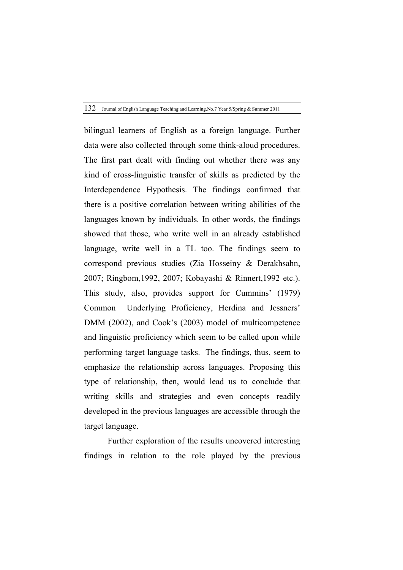bilingual learners of English as a foreign language. Further data were also collected through some think-aloud procedures. The first part dealt with finding out whether there was any kind of cross-linguistic transfer of skills as predicted by the Interdependence Hypothesis. The findings confirmed that there is a positive correlation between writing abilities of the languages known by individuals. In other words, the findings showed that those, who write well in an already established language, write well in a TL too. The findings seem to correspond previous studies (Zia Hosseiny & Derakhsahn, 2007; Ringbom,1992, 2007; Kobayashi & Rinnert,1992 etc.). This study, also, provides support for Cummins' (1979) Common Underlying Proficiency, Herdina and Jessners' DMM (2002), and Cook's (2003) model of multicompetence and linguistic proficiency which seem to be called upon while performing target language tasks. The findings, thus, seem to emphasize the relationship across languages. Proposing this type of relationship, then, would lead us to conclude that writing skills and strategies and even concepts readily developed in the previous languages are accessible through the target language.

Further exploration of the results uncovered interesting findings in relation to the role played by the previous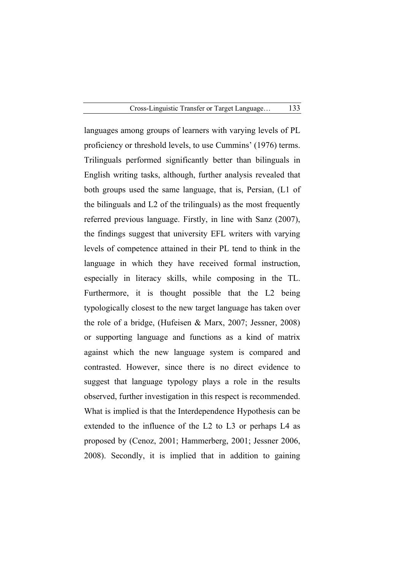languages among groups of learners with varying levels of PL proficiency or threshold levels, to use Cummins' (1976) terms. Trilinguals performed significantly better than bilinguals in English writing tasks, although, further analysis revealed that both groups used the same language, that is, Persian, (L1 of the bilinguals and L2 of the trilinguals) as the most frequently referred previous language. Firstly, in line with Sanz (2007), the findings suggest that university EFL writers with varying levels of competence attained in their PL tend to think in the language in which they have received formal instruction, especially in literacy skills, while composing in the TL. Furthermore, it is thought possible that the L2 being typologically closest to the new target language has taken over the role of a bridge, (Hufeisen & Marx, 2007; Jessner, 2008) or supporting language and functions as a kind of matrix against which the new language system is compared and contrasted. However, since there is no direct evidence to suggest that language typology plays a role in the results observed, further investigation in this respect is recommended. What is implied is that the Interdependence Hypothesis can be extended to the influence of the L2 to L3 or perhaps L4 as proposed by (Cenoz, 2001; Hammerberg, 2001; Jessner 2006, 2008). Secondly, it is implied that in addition to gaining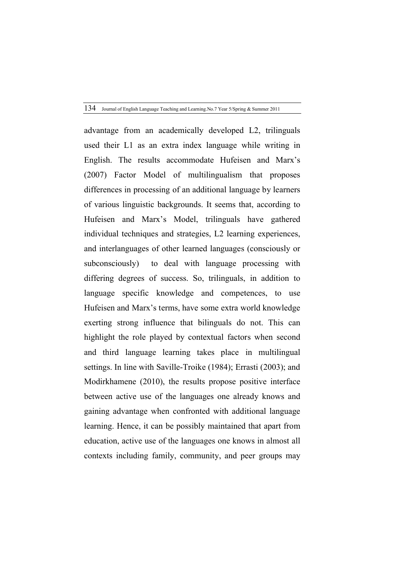advantage from an academically developed L2, trilinguals used their L1 as an extra index language while writing in English. The results accommodate Hufeisen and Marx's (2007) Factor Model of multilingualism that proposes differences in processing of an additional language by learners of various linguistic backgrounds. It seems that, according to Hufeisen and Marx's Model, trilinguals have gathered individual techniques and strategies, L2 learning experiences, and interlanguages of other learned languages (consciously or subconsciously) to deal with language processing with differing degrees of success. So, trilinguals, in addition to language specific knowledge and competences, to use Hufeisen and Marx's terms, have some extra world knowledge exerting strong influence that bilinguals do not. This can highlight the role played by contextual factors when second and third language learning takes place in multilingual settings. In line with Saville-Troike (1984); Errasti (2003); and Modirkhamene (2010), the results propose positive interface between active use of the languages one already knows and gaining advantage when confronted with additional language learning. Hence, it can be possibly maintained that apart from education, active use of the languages one knows in almost all contexts including family, community, and peer groups may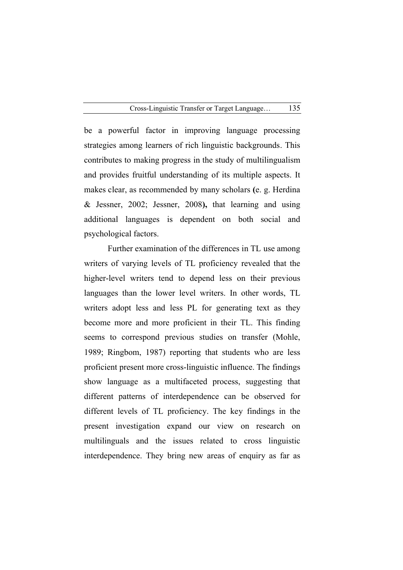be a powerful factor in improving language processing strategies among learners of rich linguistic backgrounds. This contributes to making progress in the study of multilingualism and provides fruitful understanding of its multiple aspects. It makes clear, as recommended by many scholars **(**e. g. Herdina & Jessner, 2002; Jessner, 2008**),** that learning and using additional languages is dependent on both social and psychological factors.

Further examination of the differences in TL use among writers of varying levels of TL proficiency revealed that the higher-level writers tend to depend less on their previous languages than the lower level writers. In other words, TL writers adopt less and less PL for generating text as they become more and more proficient in their TL. This finding seems to correspond previous studies on transfer (Mohle, 1989; Ringbom, 1987) reporting that students who are less proficient present more cross-linguistic influence. The findings show language as a multifaceted process, suggesting that different patterns of interdependence can be observed for different levels of TL proficiency. The key findings in the present investigation expand our view on research on multilinguals and the issues related to cross linguistic interdependence. They bring new areas of enquiry as far as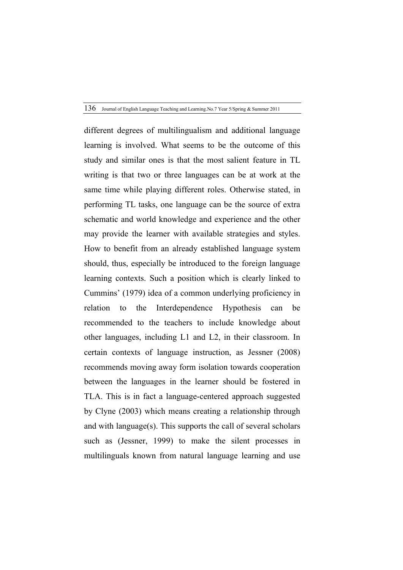different degrees of multilingualism and additional language learning is involved. What seems to be the outcome of this study and similar ones is that the most salient feature in TL writing is that two or three languages can be at work at the same time while playing different roles. Otherwise stated, in performing TL tasks, one language can be the source of extra schematic and world knowledge and experience and the other may provide the learner with available strategies and styles. How to benefit from an already established language system should, thus, especially be introduced to the foreign language learning contexts. Such a position which is clearly linked to Cummins' (1979) idea of a common underlying proficiency in relation to the Interdependence Hypothesis can be recommended to the teachers to include knowledge about other languages, including L1 and L2, in their classroom. In certain contexts of language instruction, as Jessner (2008) recommends moving away form isolation towards cooperation between the languages in the learner should be fostered in TLA. This is in fact a language-centered approach suggested by Clyne (2003) which means creating a relationship through and with language(s). This supports the call of several scholars such as (Jessner, 1999) to make the silent processes in multilinguals known from natural language learning and use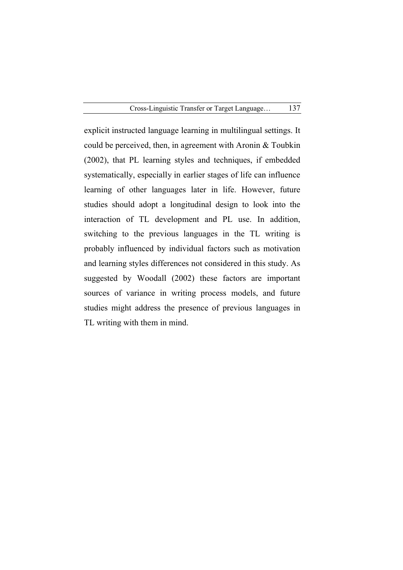explicit instructed language learning in multilingual settings. It could be perceived, then, in agreement with Aronin & Toubkin (2002), that PL learning styles and techniques, if embedded systematically, especially in earlier stages of life can influence learning of other languages later in life. However, future studies should adopt a longitudinal design to look into the interaction of TL development and PL use. In addition, switching to the previous languages in the TL writing is probably influenced by individual factors such as motivation and learning styles differences not considered in this study. As suggested by Woodall (2002) these factors are important sources of variance in writing process models, and future studies might address the presence of previous languages in TL writing with them in mind.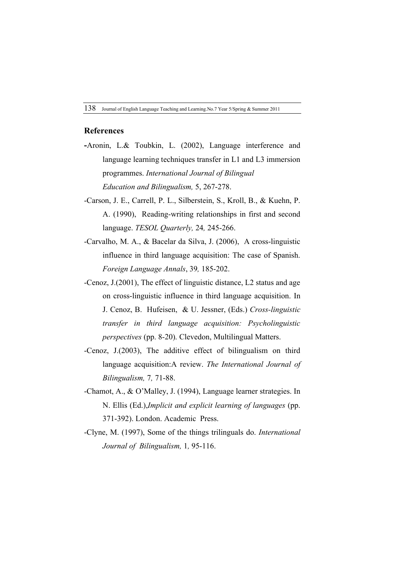# **References**

- **-**Aronin, L.& Toubkin, L. (2002), Language interference and language learning techniques transfer in L1 and L3 immersion programmes. *International Journal of Bilingual Education and Bilingualism,* 5, 267-278.
- -Carson, J. E., Carrell, P. L., Silberstein, S., Kroll, B., & Kuehn, P. A. (1990), Reading-writing relationships in first and second language. *TESOL Quarterly,* 24*,* 245-266.
- -Carvalho, M. A., & Bacelar da Silva, J. (2006), A cross-linguistic influence in third language acquisition: The case of Spanish. *Foreign Language Annals*, 39*,* 185-202.
- -Cenoz, J.(2001), The effect of linguistic distance, L2 status and age on cross-linguistic influence in third language acquisition. In J. Cenoz, B. Hufeisen, & U. Jessner, (Eds.) *Cross-linguistic transfer in third language acquisition: Psycholinguistic perspectives* (pp. 8-20). Clevedon, Multilingual Matters.
- -Cenoz, J.(2003), The additive effect of bilingualism on third language acquisition:A review. *The International Journal of Bilingualism,* 7*,* 71-88.
- -Chamot, A., & O'Malley, J. (1994), Language learner strategies. In N. Ellis (Ed.),*Implicit and explicit learning of languages* (pp. 371-392). London. Academic Press.
- -Clyne, M. (1997), Some of the things trilinguals do. *International Journal of Bilingualism,* 1*,* 95-116.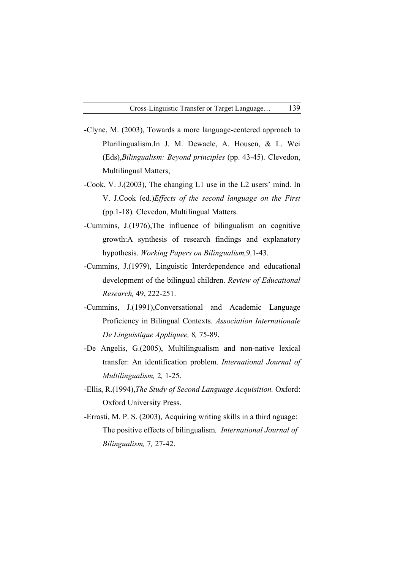- -Clyne, M. (2003), Towards a more language-centered approach to Plurilingualism.In J. M. Dewaele, A. Housen, & L. Wei (Eds),*Bilingualism: Beyond principles* (pp. 43-45)*.* Clevedon, Multilingual Matters,
- -Cook, V. J.(2003), The changing L1 use in the L2 users' mind. In V. J.Cook (ed.)*Effects of the second language on the First*  (pp.1-18)*.* Clevedon, Multilingual Matters.
- -Cummins, J.(1976),The influence of bilingualism on cognitive growth:A synthesis of research findings and explanatory hypothesis. *Working Papers on Bilingualism,*9*,*1-43.
- -Cummins, J.(1979), Linguistic Interdependence and educational development of the bilingual children. *Review of Educational Research,* 49, 222-251.
- -Cummins, J.(1991),Conversational and Academic Language Proficiency in Bilingual Contexts. *Association Internationale De Linguistique Appliquee,* 8*,* 75-89.
- -De Angelis, G.(2005), Multilingualism and non-native lexical transfer: An identification problem. *International Journal of Multilingualism,* 2*,* 1-25.
- -Ellis, R.(1994),*The Study of Second Language Acquisition.* Oxford: Oxford University Press.
- -Errasti, M. P. S. (2003), Acquiring writing skills in a third nguage: The positive effects of bilingualism*. International Journal of Bilingualism,* 7*,* 27-42.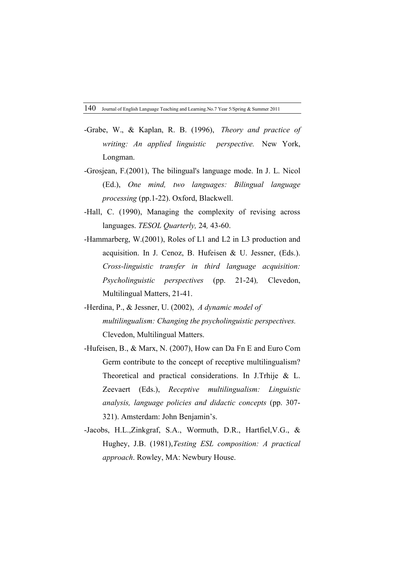- -Grabe, W., & Kaplan, R. B. (1996), *Theory and practice of writing: An applied linguistic perspective.* New York, Longman.
- -Grosjean, F.(2001), The bilingual's language mode. In J. L. Nicol (Ed.), *One mind, two languages: Bilingual language processing* (pp.1-22). Oxford, Blackwell.
- -Hall, C. (1990), Managing the complexity of revising across languages. *TESOL Quarterly,* 24*,* 43-60.
- -Hammarberg, W.(2001), Roles of L1 and L2 in L3 production and acquisition. In J. Cenoz, B. Hufeisen & U. Jessner, (Eds.). *Cross-linguistic transfer in third language acquisition: Psycholinguistic perspectives* (pp. 21-24)*,* Clevedon, Multilingual Matters, 21-41.
- -Herdina, P., & Jessner, U. (2002), *A dynamic model of multilingualism: Changing the psycholinguistic perspectives.* Clevedon, Multilingual Matters.
- -Hufeisen, B., & Marx, N. (2007), How can Da Fn E and Euro Com Germ contribute to the concept of receptive multilingualism? Theoretical and practical considerations. In J.Trhije & L. Zeevaert (Eds.), *Receptive multilingualism: Linguistic analysis, language policies and didactic concepts* (pp. 307- 321). Amsterdam: John Benjamin's.
- -Jacobs, H.L.,Zinkgraf, S.A., Wormuth, D.R., Hartfiel,V.G., & Hughey, J.B. (1981),*Testing ESL composition: A practical approach*. Rowley, MA: Newbury House.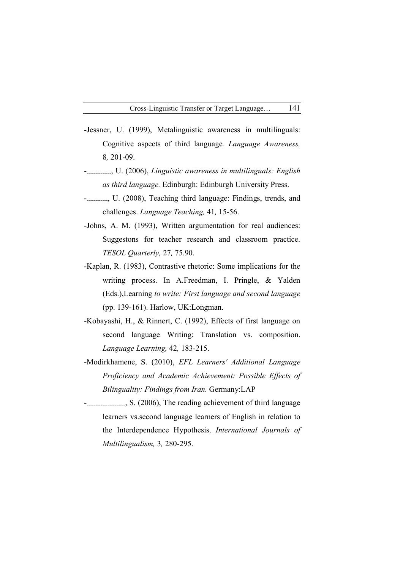- -Jessner, U. (1999), Metalinguistic awareness in multilinguals: Cognitive aspects of third language*. Language Awareness,* 8*,* 201-09.
- ---------------, U. (2006), *Linguistic awareness in multilinguals: English as third language.* Edinburgh: Edinburgh University Press.
- -------------, U. (2008), Teaching third language: Findings, trends, and challenges. *Language Teaching,* 41*,* 15-56.
- -Johns, A. M. (1993), Written argumentation for real audiences: Suggestons for teacher research and classroom practice. *TESOL Quarterly,* 27*,* 75.90.
- -Kaplan, R. (1983), Contrastive rhetoric: Some implications for the writing process. In A.Freedman, I. Pringle, & Yalden (Eds.),Learning *to write: First language and second language* (pp. 139-161). Harlow, UK:Longman.
- -Kobayashi, H., & Rinnert, C. (1992), Effects of first language on second language Writing: Translation vs. composition. *Language Learning,* 42*,* 183-215.
- -Modirkhamene, S. (2010), *EFL Learners' Additional Language Proficiency and Academic Achievement: Possible Effects of Bilinguality: Findings from Iran.* Germany:LAP
- -----------------------, S. (2006), The reading achievement of third language learners vs.second language learners of English in relation to the Interdependence Hypothesis. *International Journals of Multilingualism,* 3*,* 280-295.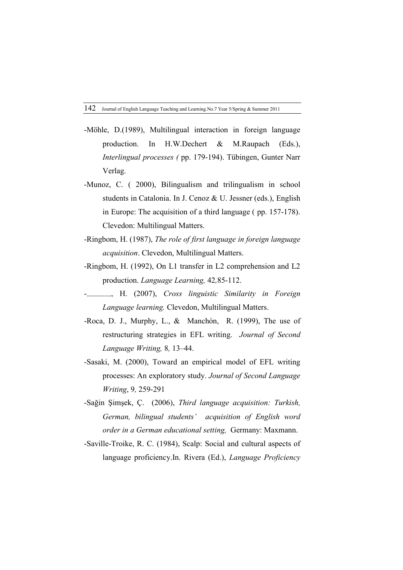- -Möhle, D.(1989), Multilingual interaction in foreign language production. In H.W.Dechert & M.Raupach (Eds.), *Interlingual processes (* pp. 179-194). Tübingen, Gunter Narr Verlag.
- -Munoz, C. ( 2000), Bilingualism and trilingualism in school students in Catalonia. In J. Cenoz & U. Jessner (eds.), English in Europe: The acquisition of a third language ( pp. 157-178). Clevedon: Multilingual Matters.
- -Ringbom, H. (1987), *The role of first language in foreign language acquisition*. Clevedon, Multilingual Matters.
- -Ringbom, H. (1992), On L1 transfer in L2 comprehension and L2 production. *Language Learning,* 42*,*85-112.
- ---------------, H. (2007), *Cross linguistic Similarity in Foreign Language learning.* Clevedon, Multilingual Matters.
- -Roca, D. J., Murphy, L.,  $\&$  Manchón, R. (1999), The use of restructuring strategies in EFL writing. *Journal of Second Language Writing,* 8*,* 13–44.
- -Sasaki, M. (2000), Toward an empirical model of EFL writing processes: An exploratory study. *Journal of Second Language Writing*, 9*,* 259-291
- -Sağin Şimşek, Ç . (2006), *Third language acquisition: Turkish, German, bilingual students' acquisition of English word order in a German educational setting,* Germany: Maxmann.
- -Saville-Troike, R. C. (1984), Scalp: Social and cultural aspects of language proficiency.In. Rivera (Ed.), *Language Proficiency*